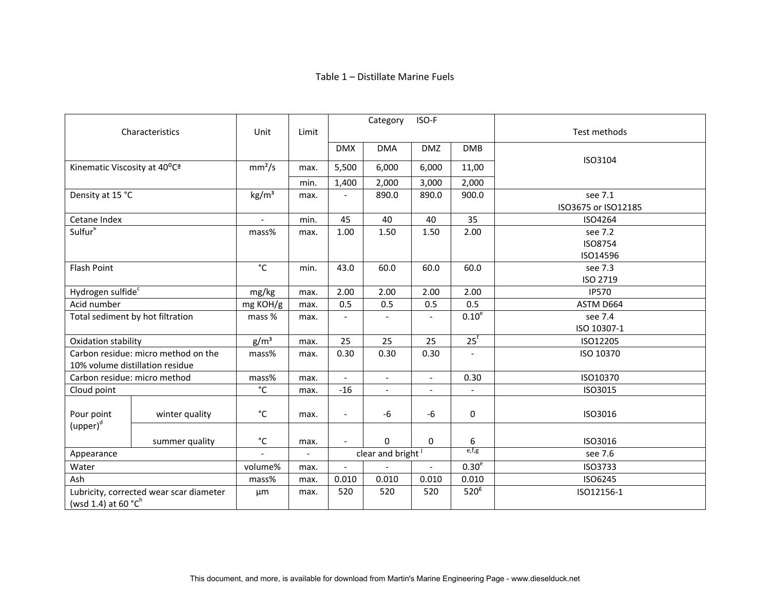## Table 1 – Distillate Marine Fuels

|                                                                            |                |                    |                          |                          | Category                 | ISO-F          |                   |                     |
|----------------------------------------------------------------------------|----------------|--------------------|--------------------------|--------------------------|--------------------------|----------------|-------------------|---------------------|
| Characteristics                                                            |                | Unit               | Limit                    |                          |                          |                |                   | Test methods        |
|                                                                            |                |                    |                          | <b>DMX</b>               | <b>DMA</b>               | <b>DMZ</b>     | <b>DMB</b>        | ISO3104             |
| Kinematic Viscosity at 40°C <sup>a</sup>                                   |                | mm <sup>2</sup> /s | max.                     | 5,500                    | 6,000                    | 6,000          | 11,00             |                     |
|                                                                            |                |                    | min.                     | 1,400                    | 2,000                    | 3,000          | 2,000             |                     |
| Density at 15 °C                                                           |                | $\text{kg/m}^3$    | max.                     | $\overline{\phantom{0}}$ | 890.0                    | 890.0          | 900.0             | see 7.1             |
|                                                                            |                |                    |                          |                          |                          |                |                   | ISO3675 or ISO12185 |
| Cetane Index                                                               |                |                    | min.                     | 45                       | 40                       | 40             | 35                | ISO4264             |
| Sulfur <sup>b</sup>                                                        |                | mass%              | max.                     | 1.00                     | 1.50                     | 1.50           | 2.00              | see 7.2             |
|                                                                            |                |                    |                          |                          |                          |                |                   | ISO8754             |
|                                                                            |                |                    |                          |                          |                          |                |                   | ISO14596            |
| <b>Flash Point</b>                                                         |                | $^{\circ}$ C       | min.                     | 43.0                     | 60.0                     | 60.0           | 60.0              | see 7.3             |
|                                                                            |                |                    |                          |                          |                          |                |                   | ISO 2719            |
| Hydrogen sulfide <sup>c</sup>                                              |                | mg/kg              | max.                     | 2.00                     | 2.00                     | 2.00           | 2.00              | <b>IP570</b>        |
| Acid number                                                                |                | mg KOH/g           | max.                     | 0.5                      | 0.5                      | 0.5            | 0.5               | ASTM D664           |
| Total sediment by hot filtration                                           |                | mass %             | max.                     | $\overline{\phantom{a}}$ | $\overline{\phantom{a}}$ | $\blacksquare$ | 0.10 <sup>e</sup> | see 7.4             |
|                                                                            |                |                    |                          |                          |                          |                |                   | ISO 10307-1         |
| Oxidation stability                                                        |                | g/m <sup>3</sup>   | max.                     | 25                       | 25                       | 25             | $25$ <sup>f</sup> | ISO12205            |
| Carbon residue: micro method on the                                        |                | mass%              | max.                     | 0.30                     | 0.30                     | 0.30           |                   | ISO 10370           |
| 10% volume distillation residue                                            |                |                    |                          |                          |                          |                |                   |                     |
| Carbon residue: micro method                                               |                | mass%              | max.                     | $\blacksquare$           | $\blacksquare$           | $\blacksquare$ | 0.30              | ISO10370            |
| Cloud point                                                                |                | $^{\circ}{\rm C}$  | max.                     | $-16$                    |                          | $\blacksquare$ |                   | ISO3015             |
| Pour point                                                                 | winter quality | $^{\circ}$ C       | max.                     | $\blacksquare$           | -6                       | $-6$           | $\boldsymbol{0}$  | ISO3016             |
| ${\mathsf{(upper)}}^{\text{\rm d}}$                                        |                |                    |                          |                          |                          |                |                   |                     |
|                                                                            | summer quality | $^{\circ}{\rm C}$  | max.                     |                          | $\Omega$                 | 0              | 6                 | ISO3016             |
| Appearance                                                                 |                |                    | $\overline{\phantom{a}}$ | clear and bright         |                          |                | e,f,g             | see 7.6             |
| Water                                                                      |                | volume%            | max.                     | $\blacksquare$           |                          | $\blacksquare$ | 0.30 <sup>e</sup> | ISO3733             |
| Ash                                                                        |                | mass%              | max.                     | 0.010                    | 0.010                    | 0.010          | 0.010             | ISO6245             |
| Lubricity, corrected wear scar diameter<br>(wsd 1.4) at 60 $^{\circ}C^{h}$ |                | μm                 | max.                     | 520                      | 520                      | 520            | 520 <sup>g</sup>  | ISO12156-1          |